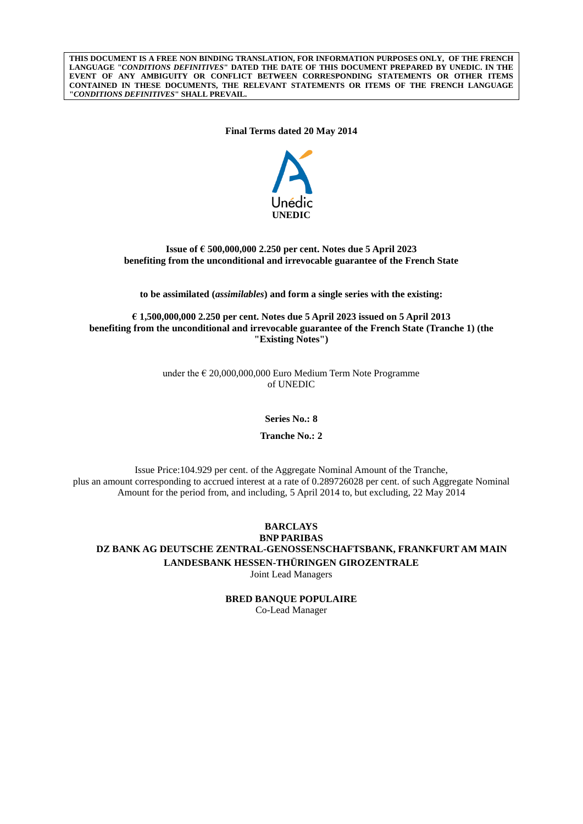**THIS DOCUMENT IS A FREE NON BINDING TRANSLATION, FOR INFORMATION PURPOSES ONLY, OF THE FRENCH LANGUAGE "***CONDITIONS DEFINITIVES***" DATED THE DATE OF THIS DOCUMENT PREPARED BY UNEDIC. IN THE EVENT OF ANY AMBIGUITY OR CONFLICT BETWEEN CORRESPONDING STATEMENTS OR OTHER ITEMS CONTAINED IN THESE DOCUMENTS, THE RELEVANT STATEMENTS OR ITEMS OF THE FRENCH LANGUAGE "***CONDITIONS DEFINITIVES***" SHALL PREVAIL.**

**Final Terms dated 20 May 2014**



## **Issue of € 500,000,000 2.250 per cent. Notes due 5 April 2023 benefiting from the unconditional and irrevocable guarantee of the French State**

**to be assimilated (***assimilables***) and form a single series with the existing:**

**€ 1,500,000,000 2.250 per cent. Notes due 5 April 2023 issued on 5 April 2013 benefiting from the unconditional and irrevocable guarantee of the French State (Tranche 1) (the "Existing Notes")**

> under the  $\epsilon$  20,000,000,000 Euro Medium Term Note Programme of UNEDIC

> > **Series No.: 8**

**Tranche No.: 2**

Issue Price:104.929 per cent. of the Aggregate Nominal Amount of the Tranche, plus an amount corresponding to accrued interest at a rate of 0.289726028 per cent. of such Aggregate Nominal Amount for the period from, and including, 5 April 2014 to, but excluding, 22 May 2014

**BARCLAYS BNP PARIBAS DZ BANK AG DEUTSCHE ZENTRAL-GENOSSENSCHAFTSBANK, FRANKFURT AM MAIN LANDESBANK HESSEN-THÜRINGEN GIROZENTRALE** Joint Lead Managers

> **BRED BANQUE POPULAIRE** Co-Lead Manager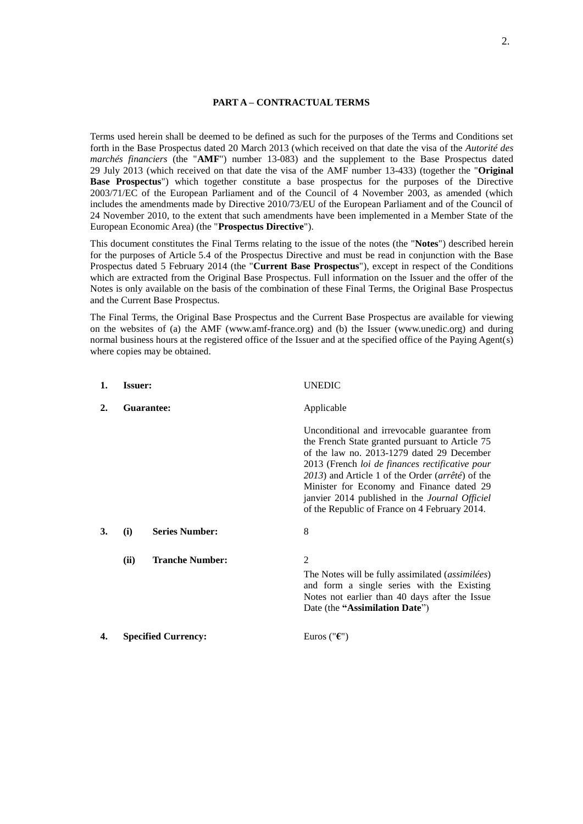### **PART A – CONTRACTUAL TERMS**

Terms used herein shall be deemed to be defined as such for the purposes of the Terms and Conditions set forth in the Base Prospectus dated 20 March 2013 (which received on that date the visa of the *Autorité des marchés financiers* (the "**AMF**") number 13-083) and the supplement to the Base Prospectus dated 29 July 2013 (which received on that date the visa of the AMF number 13-433) (together the "**Original Base Prospectus**") which together constitute a base prospectus for the purposes of the Directive 2003/71/EC of the European Parliament and of the Council of 4 November 2003, as amended (which includes the amendments made by Directive 2010/73/EU of the European Parliament and of the Council of 24 November 2010, to the extent that such amendments have been implemented in a Member State of the European Economic Area) (the "**Prospectus Directive**").

This document constitutes the Final Terms relating to the issue of the notes (the "**Notes**") described herein for the purposes of Article 5.4 of the Prospectus Directive and must be read in conjunction with the Base Prospectus dated 5 February 2014 (the "**Current Base Prospectus**"), except in respect of the Conditions which are extracted from the Original Base Prospectus. Full information on the Issuer and the offer of the Notes is only available on the basis of the combination of these Final Terms, the Original Base Prospectus and the Current Base Prospectus.

The Final Terms, the Original Base Prospectus and the Current Base Prospectus are available for viewing on the websites of (a) the AMF (www.amf-france.org) and (b) the Issuer (www.unedic.org) and during normal business hours at the registered office of the Issuer and at the specified office of the Paying Agent(s) where copies may be obtained.

| 1. | <b>Issuer:</b>             |                        | <b>UNEDIC</b>                                                                                                                                                                                                                                                                                                                                                                                        |
|----|----------------------------|------------------------|------------------------------------------------------------------------------------------------------------------------------------------------------------------------------------------------------------------------------------------------------------------------------------------------------------------------------------------------------------------------------------------------------|
| 2. |                            | Guarantee:             | Applicable                                                                                                                                                                                                                                                                                                                                                                                           |
|    |                            |                        | Unconditional and irrevocable guarantee from<br>the French State granted pursuant to Article 75<br>of the law no. 2013-1279 dated 29 December<br>2013 (French loi de finances rectificative pour<br>2013) and Article 1 of the Order (arrêté) of the<br>Minister for Economy and Finance dated 29<br>janvier 2014 published in the Journal Officiel<br>of the Republic of France on 4 February 2014. |
| 3. | (i)                        | <b>Series Number:</b>  | 8                                                                                                                                                                                                                                                                                                                                                                                                    |
|    | (ii)                       | <b>Tranche Number:</b> | 2<br>The Notes will be fully assimilated (assimilées)<br>and form a single series with the Existing<br>Notes not earlier than 40 days after the Issue<br>Date (the "Assimilation Date")                                                                                                                                                                                                              |
| 4. | <b>Specified Currency:</b> |                        | Euros (" $\epsilon$ ")                                                                                                                                                                                                                                                                                                                                                                               |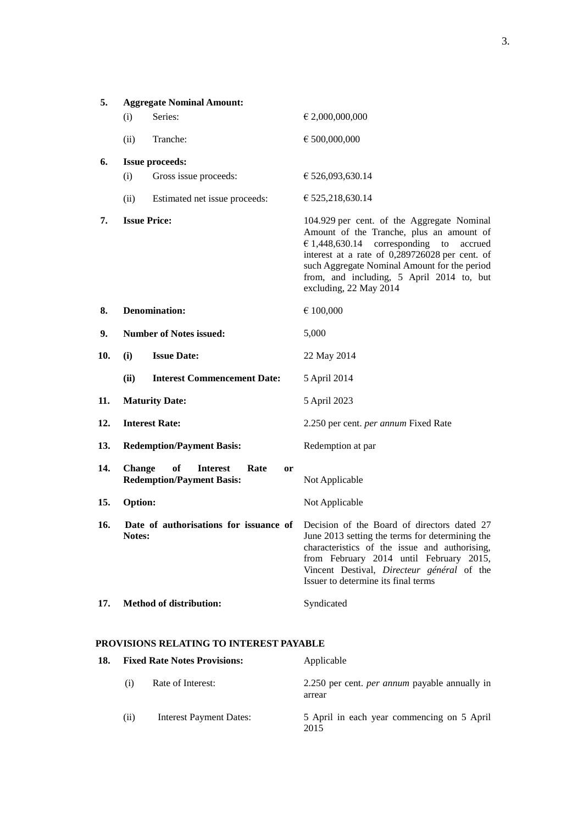| 5.  |               | <b>Aggregate Nominal Amount:</b>                                                   |                                                                                                                                                                                                                                                                                                                           |
|-----|---------------|------------------------------------------------------------------------------------|---------------------------------------------------------------------------------------------------------------------------------------------------------------------------------------------------------------------------------------------------------------------------------------------------------------------------|
|     | (i)           | Series:                                                                            | € 2,000,000,000                                                                                                                                                                                                                                                                                                           |
|     | (ii)          | Tranche:                                                                           | € 500,000,000                                                                                                                                                                                                                                                                                                             |
| 6.  |               | <b>Issue proceeds:</b>                                                             |                                                                                                                                                                                                                                                                                                                           |
|     | (i)           | Gross issue proceeds:                                                              | € 526,093,630.14                                                                                                                                                                                                                                                                                                          |
|     | (ii)          | Estimated net issue proceeds:                                                      | € 525,218,630.14                                                                                                                                                                                                                                                                                                          |
| 7.  |               | <b>Issue Price:</b>                                                                | 104.929 per cent. of the Aggregate Nominal<br>Amount of the Tranche, plus an amount of<br>$\epsilon$ 1,448,630.14 corresponding<br>to<br>accrued<br>interest at a rate of 0,289726028 per cent. of<br>such Aggregate Nominal Amount for the period<br>from, and including, 5 April 2014 to, but<br>excluding, 22 May 2014 |
| 8.  |               | <b>Denomination:</b>                                                               | € 100,000                                                                                                                                                                                                                                                                                                                 |
| 9.  |               | <b>Number of Notes issued:</b>                                                     | 5,000                                                                                                                                                                                                                                                                                                                     |
| 10. | (i)           | <b>Issue Date:</b>                                                                 | 22 May 2014                                                                                                                                                                                                                                                                                                               |
|     | (ii)          | <b>Interest Commencement Date:</b>                                                 | 5 April 2014                                                                                                                                                                                                                                                                                                              |
| 11. |               | <b>Maturity Date:</b>                                                              | 5 April 2023                                                                                                                                                                                                                                                                                                              |
| 12. |               | <b>Interest Rate:</b>                                                              | 2.250 per cent. per annum Fixed Rate                                                                                                                                                                                                                                                                                      |
| 13. |               | <b>Redemption/Payment Basis:</b>                                                   | Redemption at par                                                                                                                                                                                                                                                                                                         |
| 14. | <b>Change</b> | of<br><b>Interest</b><br>Rate<br><sub>or</sub><br><b>Redemption/Payment Basis:</b> | Not Applicable                                                                                                                                                                                                                                                                                                            |
| 15. | Option:       |                                                                                    | Not Applicable                                                                                                                                                                                                                                                                                                            |
| 16. | Notes:        |                                                                                    | Date of authorisations for issuance of Decision of the Board of directors dated 27<br>June 2013 setting the terms for determining the<br>characteristics of the issue and authorising,<br>from February 2014 until February 2015,<br>Vincent Destival, Directeur général of the<br>Issuer to determine its final terms    |
| 17. |               | <b>Method of distribution:</b>                                                     | Syndicated                                                                                                                                                                                                                                                                                                                |

## **PROVISIONS RELATING TO INTEREST PAYABLE**

| 18. | <b>Fixed Rate Notes Provisions:</b> |                         | Applicable                                                     |  |
|-----|-------------------------------------|-------------------------|----------------------------------------------------------------|--|
|     | (1)                                 | Rate of Interest:       | 2.250 per cent. <i>per annum</i> payable annually in<br>arrear |  |
|     | (i)                                 | Interest Payment Dates: | 5 April in each year commencing on 5 April<br>2015             |  |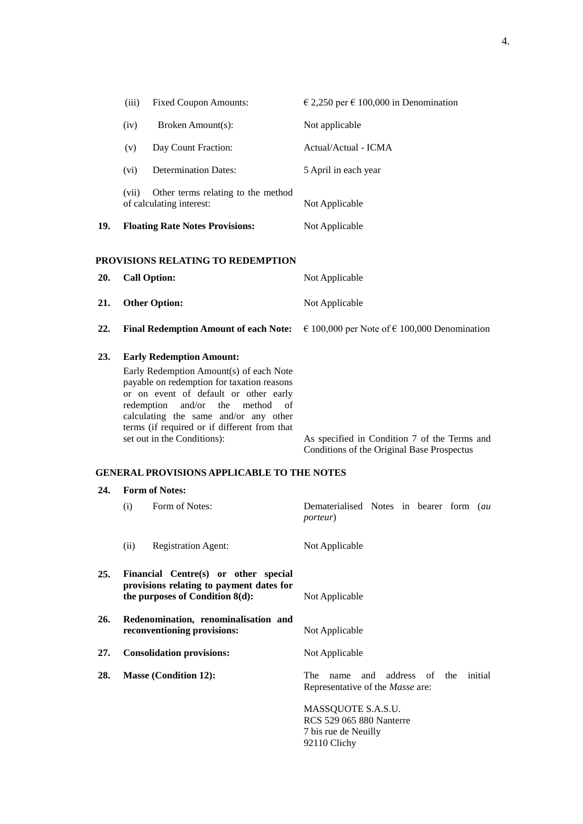|     | <b>Fixed Coupon Amounts:</b><br>(iii)                                                                                                                                                                                                                                                                                                    | $\epsilon$ 2,250 per $\epsilon$ 100,000 in Denomination                                    |
|-----|------------------------------------------------------------------------------------------------------------------------------------------------------------------------------------------------------------------------------------------------------------------------------------------------------------------------------------------|--------------------------------------------------------------------------------------------|
|     | Broken Amount(s):<br>(iv)                                                                                                                                                                                                                                                                                                                | Not applicable                                                                             |
|     | Day Count Fraction:<br>(v)                                                                                                                                                                                                                                                                                                               | Actual/Actual - ICMA                                                                       |
|     | <b>Determination Dates:</b><br>(vi)                                                                                                                                                                                                                                                                                                      | 5 April in each year                                                                       |
|     | (vii)<br>Other terms relating to the method<br>of calculating interest:                                                                                                                                                                                                                                                                  | Not Applicable                                                                             |
| 19. | <b>Floating Rate Notes Provisions:</b>                                                                                                                                                                                                                                                                                                   | Not Applicable                                                                             |
|     | PROVISIONS RELATING TO REDEMPTION                                                                                                                                                                                                                                                                                                        |                                                                                            |
| 20. | <b>Call Option:</b>                                                                                                                                                                                                                                                                                                                      | Not Applicable                                                                             |
| 21. | <b>Other Option:</b>                                                                                                                                                                                                                                                                                                                     | Not Applicable                                                                             |
| 22. | <b>Final Redemption Amount of each Note:</b>                                                                                                                                                                                                                                                                                             | € 100,000 per Note of € 100,000 Denomination                                               |
| 23. | <b>Early Redemption Amount:</b><br>Early Redemption Amount(s) of each Note<br>payable on redemption for taxation reasons<br>or on event of default or other early<br>and/or<br>redemption<br>the<br>method<br>οf<br>calculating the same and/or any other<br>terms (if required or if different from that<br>set out in the Conditions): | As specified in Condition 7 of the Terms and<br>Conditions of the Original Base Prospectus |
|     | <b>GENERAL PROVISIONS APPLICABLE TO THE NOTES</b>                                                                                                                                                                                                                                                                                        |                                                                                            |
| 24. | <b>Form of Notes:</b>                                                                                                                                                                                                                                                                                                                    |                                                                                            |
|     | Form of Notes:<br>(i)                                                                                                                                                                                                                                                                                                                    | Dematerialised Notes in bearer form (au<br><i>porteur</i> )                                |
|     | <b>Registration Agent:</b><br>(ii)                                                                                                                                                                                                                                                                                                       | Not Applicable                                                                             |
| 25. | Financial Centre(s) or other special<br>provisions relating to payment dates for<br>the purposes of Condition 8(d):                                                                                                                                                                                                                      | Not Applicable                                                                             |
| 26. | Redenomination, renominalisation and<br>reconventioning provisions:                                                                                                                                                                                                                                                                      | Not Applicable                                                                             |
| 27. | <b>Consolidation provisions:</b>                                                                                                                                                                                                                                                                                                         | Not Applicable                                                                             |
| 28. | <b>Masse (Condition 12):</b>                                                                                                                                                                                                                                                                                                             | The<br>address<br>of<br>the<br>initial<br>and<br>name<br>Representative of the Masse are:  |
|     |                                                                                                                                                                                                                                                                                                                                          | MASSQUOTE S.A.S.U.<br>RCS 529 065 880 Nanterre<br>7 bis rue de Neuilly<br>92110 Clichy     |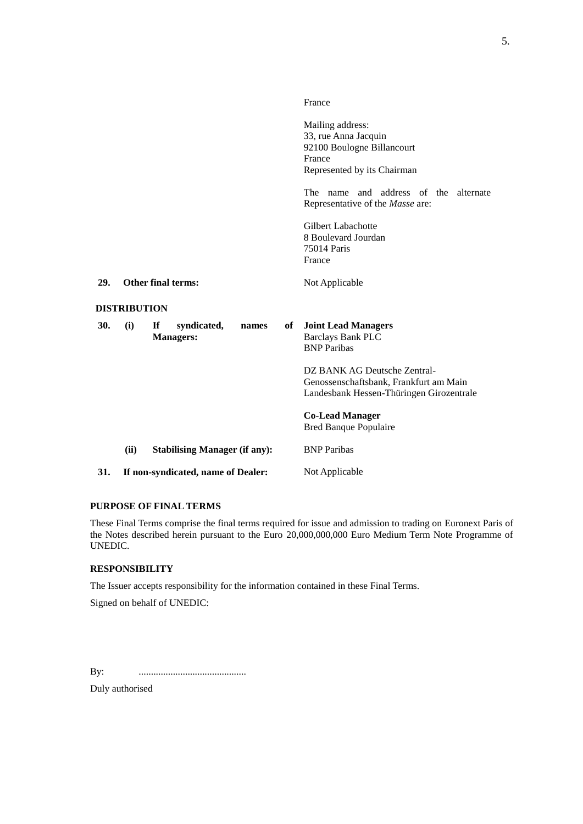|     |                     |                                                |    | France                                                                                                                                                   |
|-----|---------------------|------------------------------------------------|----|----------------------------------------------------------------------------------------------------------------------------------------------------------|
|     |                     |                                                |    | Mailing address:<br>33, rue Anna Jacquin<br>92100 Boulogne Billancourt<br>France<br>Represented by its Chairman<br>The name and address of the alternate |
|     |                     |                                                |    | Representative of the Masse are:                                                                                                                         |
|     |                     |                                                |    | Gilbert Labachotte<br>8 Boulevard Jourdan<br>75014 Paris<br>France                                                                                       |
| 29. |                     | Other final terms:                             |    | Not Applicable                                                                                                                                           |
|     | <b>DISTRIBUTION</b> |                                                |    |                                                                                                                                                          |
| 30. | (i)                 | If<br>syndicated,<br>names<br><b>Managers:</b> | of | <b>Joint Lead Managers</b><br><b>Barclays Bank PLC</b><br><b>BNP</b> Paribas                                                                             |
|     |                     |                                                |    | DZ BANK AG Deutsche Zentral-<br>Genossenschaftsbank, Frankfurt am Main<br>Landesbank Hessen-Thüringen Girozentrale                                       |
|     |                     |                                                |    | <b>Co-Lead Manager</b><br><b>Bred Banque Populaire</b>                                                                                                   |
|     | (ii)                | <b>Stabilising Manager (if any):</b>           |    | <b>BNP</b> Paribas                                                                                                                                       |
| 31. |                     | If non-syndicated, name of Dealer:             |    | Not Applicable                                                                                                                                           |

### **PURPOSE OF FINAL TERMS**

These Final Terms comprise the final terms required for issue and admission to trading on Euronext Paris of the Notes described herein pursuant to the Euro 20,000,000,000 Euro Medium Term Note Programme of UNEDIC.

# **RESPONSIBILITY**

The Issuer accepts responsibility for the information contained in these Final Terms.

Signed on behalf of UNEDIC:

By: ............................................

Duly authorised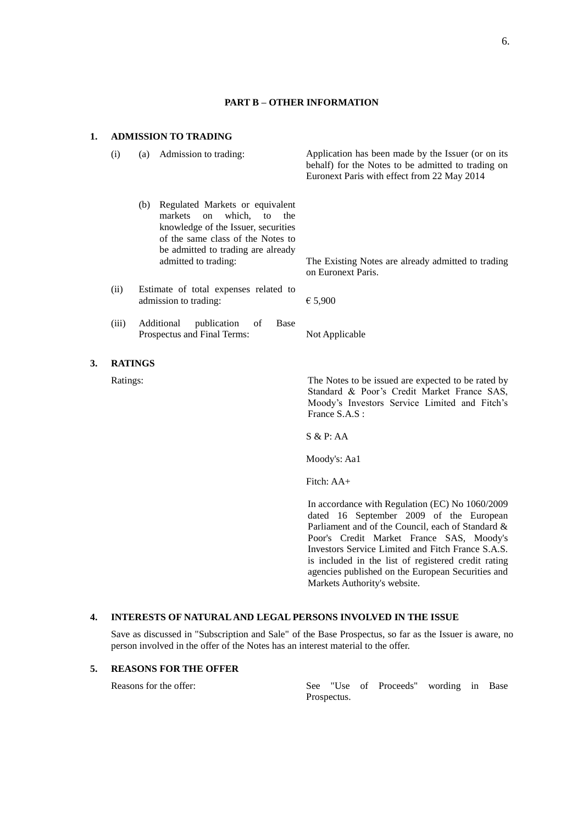### **PART B – OTHER INFORMATION**

#### **1. ADMISSION TO TRADING**

(i) (a) Admission to trading: Application has been made by the Issuer (or on its behalf) for the Notes to be admitted to trading on Euronext Paris with effect from 22 May 2014 (b) Regulated Markets or equivalent markets on which, to the

> admitted to trading: The Existing Notes are already admitted to trading on Euronext Paris.

(ii) Estimate of total expenses related to admission to trading:  $65,900$ 

(iii) Additional publication of Base Prospectus and Final Terms: Not Applicable

knowledge of the Issuer, securities of the same class of the Notes to be admitted to trading are already

**3. RATINGS**

Ratings: The Notes to be issued are expected to be rated by Standard & Poor's Credit Market France SAS, Moody's Investors Service Limited and Fitch's France S.A.S :

S & P: AA

Moody's: Aa1

Fitch: AA+

In accordance with Regulation (EC) No 1060/2009 dated 16 September 2009 of the European Parliament and of the Council, each of Standard & Poor's Credit Market France SAS, Moody's Investors Service Limited and Fitch France S.A.S. is included in the list of registered credit rating agencies published on the European Securities and Markets Authority's website.

#### **4. INTERESTS OF NATURAL AND LEGAL PERSONS INVOLVED IN THE ISSUE**

Save as discussed in "Subscription and Sale" of the Base Prospectus, so far as the Issuer is aware, no person involved in the offer of the Notes has an interest material to the offer.

## **5. REASONS FOR THE OFFER**

Reasons for the offer: See "Use of Proceeds" wording in Base Prospectus.